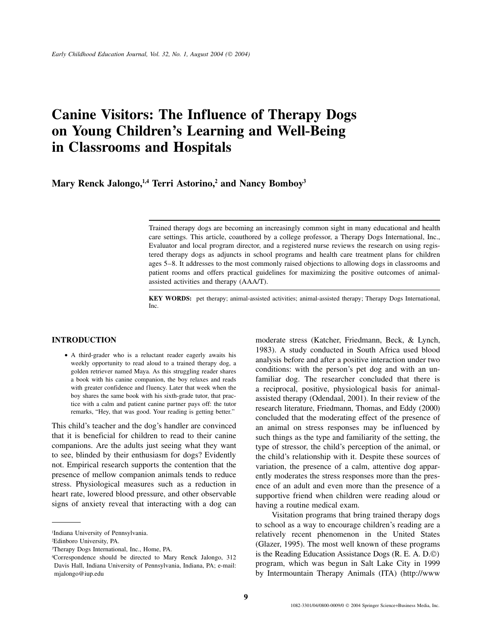# **Canine Visitors: The Influence of Therapy Dogs on Young Children's Learning and Well-Being in Classrooms and Hospitals**

**Mary Renck Jalongo,1,4 Terri Astorino,2 and Nancy Bomboy3**

Trained therapy dogs are becoming an increasingly common sight in many educational and health care settings. This article, coauthored by a college professor, a Therapy Dogs International, Inc., Evaluator and local program director, and a registered nurse reviews the research on using registered therapy dogs as adjuncts in school programs and health care treatment plans for children ages 5–8. It addresses to the most commonly raised objections to allowing dogs in classrooms and patient rooms and offers practical guidelines for maximizing the positive outcomes of animalassisted activities and therapy (AAA/T).

**KEY WORDS:** pet therapy; animal-assisted activities; animal-assisted therapy; Therapy Dogs International, Inc.

weekly opportunity to read aloud to a trained therapy dog, a

that it is beneficial for children to read to their canine such things as the type and familiarity of the setting, the companions. Are the adults just seeing what they want the of stressor the child's perception of the ani to see, blinded by their enthusiasm for dogs? Evidently the child's relationship with it. Despite these sources of not. Empirical research supports the contention that the variation, the presence of a calm, attentive dog apparpresence of mellow companion animals tends to reduce ently moderates the stress responses more than the presstress. Physiological measures such as a reduction in ence of an adult and even more than the presence of a heart rate, lowered blood pressure, and other observable supportive friend when children were reading aloud or signs of anxiety reveal that interacting with a dog can having a routine medical exam.

**INTRODUCTION** moderate stress (Katcher, Friedmann, Beck, & Lynch, 1983). A study conducted in South Africa used blood A third-grader who is a reluctant reader eagerly awaits his analysis before and after a positive interaction under two analysis  $\frac{1}{2}$ conditions: with the person's pet dog and with an un-<br>golden retriever named Maya. As this struggling reader shares conditions: with the person's pet dog and with an una book with his canine companion, the boy relaxes and reads familiar dog. The researcher concluded that there is with greater confidence and fluency. Later that week when the a reciprocal, positive, physiological basis for animal-<br>boy shares the same book with his sixth-grade tutor, that prace assisted therapy (Odendaal 2001). In the boy shares the same book with his sixth-grade tutor, that prac-<br>tice with a calm and patient canine partner pays off: the tutor<br>remarks, "Hey, that was good. Your reading is getting better." research literature, Friedmann, concluded that the moderating effect of the presence of This child's teacher and the dog's handler are convinced an animal on stress responses may be influenced by type of stressor, the child's perception of the animal, or

Visitation programs that bring trained therapy dogs to school as a way to encourage children's reading are a Findiana University of Pennsylvania.<br>
<sup>2</sup>Edinboro University, PA. (Glazer, 1995). The most well known of these programs<br>
<sup>2</sup>Therapy Dogs International, Inc., Home, PA. (Glazer, 1995). The most well known of these programs<br> Davis Hall, Indiana University of Pennsylvania, Indiana, PA; e-mail: program, which was begun in Salt Lake City in 1999 mjalongo@iup.edu by Intermountain Therapy Animals (ITA) (http://www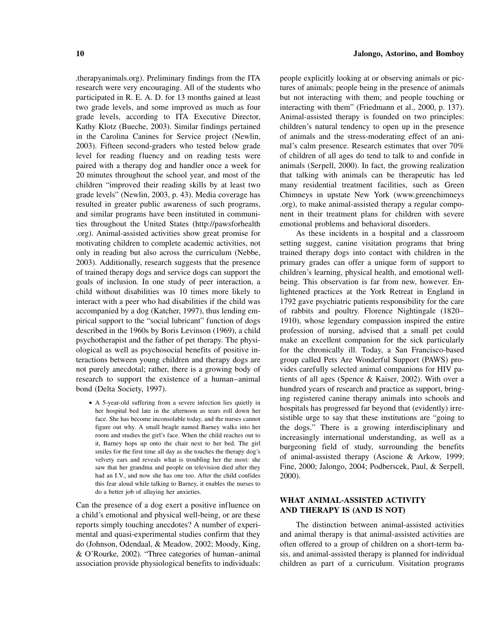.therapyanimals.org). Preliminary findings from the ITA people explicitly looking at or observing animals or picresearch were very encouraging. All of the students who tures of animals; people being in the presence of animals participated in R. E. A. D. for 13 months gained at least but not interacting with them; and people touching or two grade levels, and some improved as much as four interacting with them" (Friedmann et al., 2000, p. 137). grade levels, according to ITA Executive Director, Animal-assisted therapy is founded on two principles: Kathy Klotz (Bueche, 2003). Similar findings pertained children's natural tendency to open up in the presence in the Carolina Canines for Service project (Newlin, of animals and the stress-moderating effect of an ani-2003). Fifteen second-graders who tested below grade mal's calm presence. Research estimates that over 70% level for reading fluency and on reading tests were of children of all ages do tend to talk to and confide in paired with a therapy dog and handler once a week for animals (Serpell, 2000). In fact, the growing realization 20 minutes throughout the school year, and most of the that talking with animals can be therapeutic has led children "improved their reading skills by at least two many residential treatment facilities, such as Green grade levels" (Newlin, 2003, p. 43). Media coverage has Chimneys in upstate New York (www.greenchimneys resulted in greater public awareness of such programs, .org), to make animal-assisted therapy a regular compoand similar programs have been instituted in communi- nent in their treatment plans for children with severe ties throughout the United States (http://pawsforhealth emotional problems and behavioral disorders. .org). Animal-assisted activities show great promise for As these incidents in a hospital and a classroom motivating children to complete academic activities, not setting suggest, canine visitation programs that bring only in reading but also across the curriculum (Nebbe, trained therapy dogs into contact with children in the 2003). Additionally, research suggests that the presence primary grades can offer a unique form of support to of trained therapy dogs and service dogs can support the children's learning, physical health, and emotional wellgoals of inclusion. In one study of peer interaction, a being. This observation is far from new, however. Enchild without disabilities was 10 times more likely to lightened practices at the York Retreat in England in interact with a peer who had disabilities if the child was 1792 gave psychiatric patients responsibility for the care accompanied by a dog (Katcher, 1997), thus lending em- of rabbits and poultry. Florence Nightingale (1820– pirical support to the "social lubricant" function of dogs 1910), whose legendary compassion inspired the entire described in the 1960s by Boris Levinson (1969), a child profession of nursing, advised that a small pet could psychotherapist and the father of pet therapy. The physi- make an excellent companion for the sick particularly ological as well as psychosocial benefits of positive in- for the chronically ill. Today, a San Francisco-based teractions between young children and therapy dogs are group called Pets Are Wonderful Support (PAWS) pronot purely anecdotal; rather, there is a growing body of vides carefully selected animal companions for HIV paresearch to support the existence of a human–animal tients of all ages (Spence & Kaiser, 2002). With over a bond (Delta Society, 1997). hundred years of research and practice as support, bring-

had an I.V., and now she has one too. After the child confides 2000). this fear aloud while talking to Barney, it enables the nurses to do a better job of allaying her anxieties.

Can the presence of a dog exert a positive influence on **WHAT ANIMAL-ASSISTED ACTIVITY** a child's emotional and physical well-being, or are these

A 5-year-old suffering from a severe infection lies quietly in ing registered canine therapy animals into schools and her hospital bed late in the afternoon as tears roll down her hospitals has progressed far beyond that ( face. She has become inconsolable today, and the nurses cannot sistible urge to say that these institutions are "going to figure out why. A small beagle named Barney walks into her the dogs." There is a growing interdisciplinary and room and studies the girl's face. When the child reaches out to increasingly international understanding as wel room and studies the girl's face. When the child reaches out to<br>it, Barney hops up onto the chair next to her bed. The girl<br>smiles for the first time all day as she touches the therapy dog's<br>velvety ears and reveals what i saw that her grandma and people on television died after they Fine, 2000; Jalongo, 2004; Podberscek, Paul, & Serpell,

reports simply touching anecdotes? A number of experi- The distinction between animal-assisted activities mental and quasi-experimental studies confirm that they and animal therapy is that animal-assisted activities are do (Johnson, Odendaal, & Meadow, 2002; Moody, King, often offered to a group of children on a short-term ba- & O'Rourke, 2002). "Three categories of human–animal sis, and animal-assisted therapy is planned for individual association provide physiological benefits to individuals: children as part of a curriculum. Visitation programs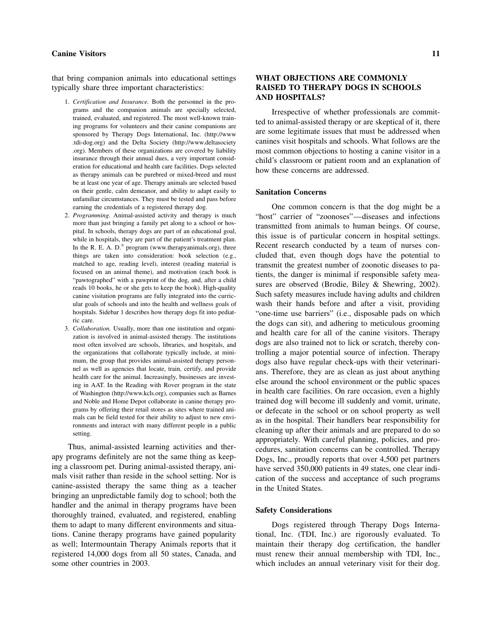### **Canine Visitors 11**

that bring companion animals into educational settings **WHAT OBJECTIONS ARE COMMONLY** typically share three important characteristics: **RAISED TO THERAPY DOGS IN SCHOOLS**

- **AND HOSPITALS?** 1. *Certification and Insurance.* Both the personnel in the pro-.tdi-dog.org) and the Delta Society (http://www.deltasociety insurance through their annual dues, a very important considered in a child's classroom or patient room and an explanation of eration for educational and health care facilities. Dogs selected how these concerns are address be at least one year of age. Therapy animals are selected based on their gentle, calm demeanor, and ability to adapt easily to **Sanitation Concerns** unfamiliar circumstances. They must be tested and pass before earning the credentials of a registered therapy dog. One common concern is that the dog might be a
- 
- 

apy programs definitely are not the same thing as keep-<br>ing a classroom pet. During animal-assisted therapy, ani-<br>have served 350,000 patients in 40 states, one clear indiing a classroom pet. During animal-assisted therapy, ani-<br>mals visit rather than reside in the school setting. Nor is<br>cation of the success and acceptance of such programs canine-assisted therapy the same thing as a teacher in the United States. bringing an unpredictable family dog to school; both the handler and the animal in therapy programs have been **Safety Considerations** thoroughly trained, evaluated, and registered, enabling them to adapt to many different environments and situa- Dogs registered through Therapy Dogs Internations. Canine therapy programs have gained popularity tional, Inc. (TDI, Inc.) are rigorously evaluated. To as well; Intermountain Therapy Animals reports that it maintain their therapy dog certification, the handler registered 14,000 dogs from all 50 states, Canada, and must renew their annual membership with TDI, Inc., some other countries in 2003. Which includes an annual veterinary visit for their dog.

grams and the companion animals are specially selected,<br>trained, evaluated, and registered. The most well-known train-<br>ing programs for volunteers and their canine companions are<br>sponsored by Therapy Dogs International, In org). Members of these organizations are covered by liability most common objections to hosting a canine visitor in a<br>
insurance through their annual dues, a very important considerability classroom or patient room and an

2. *Programming.* Animal-assisted activity and therapy is much "host" carrier of "zoonoses"—diseases and infections more than just bringing a family pet along to a school or hos-<br>**Example 19** reasonable to human beings. Of more than just bringing a family pet along to a school or hos-<br>pital. In schools, therapy dogs are part of an educational goal,<br>while in hospitals, they are part of the patient's treatment plan.<br>this issue is of particular In the R. E. A. D.<sup>®</sup> program (www.therapyanimals.org), three Recent research conducted by a team of nurses conthings are taken into consideration: book selection (e.g., cluded that, even though dogs have the potential to matched to age, reading level), interest (reading material is transmit the greatest number of zoonotic diseases to pa-<br>focused on an animal theme), and motivation (each book is tients, the danger is minimal if responsible focused on an animal theme), and motivation (each book is<br>
"pawtographed" with a pawprint of the dog, and, after a child<br>
reads 10 books, he or she gets to keep the book). High-quality<br>
sures are observed (Brodie, Biley & canine visitation programs are fully integrated into the curric-<br>Such safety measures include having adults and children ular goals of schools and into the health and wellness goals of wash their hands before and after a visit, providing hospitals. Sidebar 1 describes how therapy dogs fit into pediat-<br>ric care.<br>the dogs gen git) and adhesing to matisulaus grapping inc care.<br>
3. Collaboration. Usually, more than one institution and organization sinvolved in animal-assisted therapy. The institutions and health care for all of the canine visitors. Therapy most often involved are schools, libraries, and hospitals, and dogs are also trained not to lick or scratch, thereby conthe organizations that collaborate typically include, at mini- trolling a major potential source of infection. Therapy mum, the group that provides animal-assisted therapy person-<br>nel as well as agencies that locate, train, certify, and provide<br>and Therapone they are as alson as just about anything nel as well as agencies that locate, train, certify, and provide<br>health care for the animal. Increasingly, businesses are invest-<br>ing in AAT. In the Reading with Rover program in the state<br>of Washington (http://www.kcls.or in health care facilities. On rare occasion, even a highly and Noble and Home Depot collaborate in canine therapy pro- trained dog will become ill suddenly and vomit, urinate, grams by offering their retail stores as sites where trained ani-<br>mals can be field tested for their ability to adjust to new envi-<br>as in the bosnitel. Their handlers hear responsibility for mals can be field tested for their ability to adjust to new envi-<br>ronments and interact with many different people in a public<br>setting.<br>Setting up after their animals and are prepared to do so appropriately. With careful planning, policies, and pro-Thus, animal-assisted learning activities and ther-<br>approximation concerns can be controlled. Therapy<br>programs definitely are not the same thing as keep-<br> $\frac{1}{2}$ <br> $\frac{1}{2}$ cation of the success and acceptance of such programs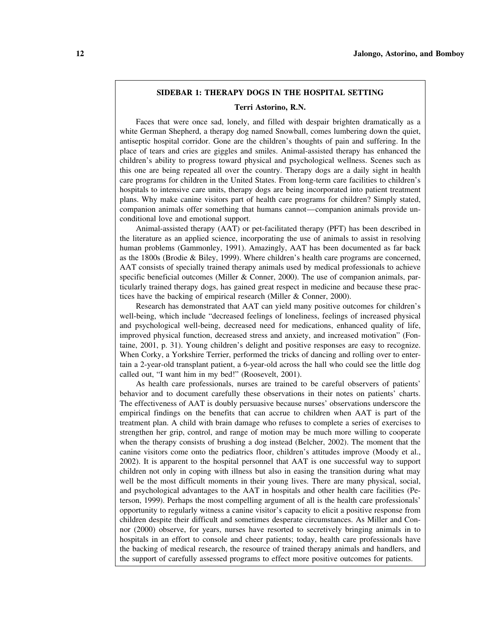### **SIDEBAR 1: THERAPY DOGS IN THE HOSPITAL SETTING**

### **Terri Astorino, R.N.**

Faces that were once sad, lonely, and filled with despair brighten dramatically as a white German Shepherd, a therapy dog named Snowball, comes lumbering down the quiet, antiseptic hospital corridor. Gone are the children's thoughts of pain and suffering. In the place of tears and cries are giggles and smiles. Animal-assisted therapy has enhanced the children's ability to progress toward physical and psychological wellness. Scenes such as this one are being repeated all over the country. Therapy dogs are a daily sight in health care programs for children in the United States. From long-term care facilities to children's hospitals to intensive care units, therapy dogs are being incorporated into patient treatment plans. Why make canine visitors part of health care programs for children? Simply stated, companion animals offer something that humans cannot—companion animals provide unconditional love and emotional support.

Animal-assisted therapy (AAT) or pet-facilitated therapy (PFT) has been described in the literature as an applied science, incorporating the use of animals to assist in resolving human problems (Gammonley, 1991). Amazingly, AAT has been documented as far back as the 1800s (Brodie & Biley, 1999). Where children's health care programs are concerned, AAT consists of specially trained therapy animals used by medical professionals to achieve specific beneficial outcomes (Miller & Conner, 2000). The use of companion animals, particularly trained therapy dogs, has gained great respect in medicine and because these practices have the backing of empirical research (Miller & Conner, 2000).

Research has demonstrated that AAT can yield many positive outcomes for children's well-being, which include "decreased feelings of loneliness, feelings of increased physical and psychological well-being, decreased need for medications, enhanced quality of life, improved physical function, decreased stress and anxiety, and increased motivation" (Fontaine, 2001, p. 31). Young children's delight and positive responses are easy to recognize. When Corky, a Yorkshire Terrier, performed the tricks of dancing and rolling over to entertain a 2-year-old transplant patient, a 6-year-old across the hall who could see the little dog called out, "I want him in my bed!" (Roosevelt, 2001).

As health care professionals, nurses are trained to be careful observers of patients' behavior and to document carefully these observations in their notes on patients' charts. The effectiveness of AAT is doubly persuasive because nurses' observations underscore the empirical findings on the benefits that can accrue to children when AAT is part of the treatment plan. A child with brain damage who refuses to complete a series of exercises to strengthen her grip, control, and range of motion may be much more willing to cooperate when the therapy consists of brushing a dog instead (Belcher, 2002). The moment that the canine visitors come onto the pediatrics floor, children's attitudes improve (Moody et al., 2002). It is apparent to the hospital personnel that AAT is one successful way to support children not only in coping with illness but also in easing the transition during what may well be the most difficult moments in their young lives. There are many physical, social, and psychological advantages to the AAT in hospitals and other health care facilities (Peterson, 1999). Perhaps the most compelling argument of all is the health care professionals' opportunity to regularly witness a canine visitor's capacity to elicit a positive response from children despite their difficult and sometimes desperate circumstances. As Miller and Connor (2000) observe, for years, nurses have resorted to secretively bringing animals in to hospitals in an effort to console and cheer patients; today, health care professionals have the backing of medical research, the resource of trained therapy animals and handlers, and the support of carefully assessed programs to effect more positive outcomes for patients.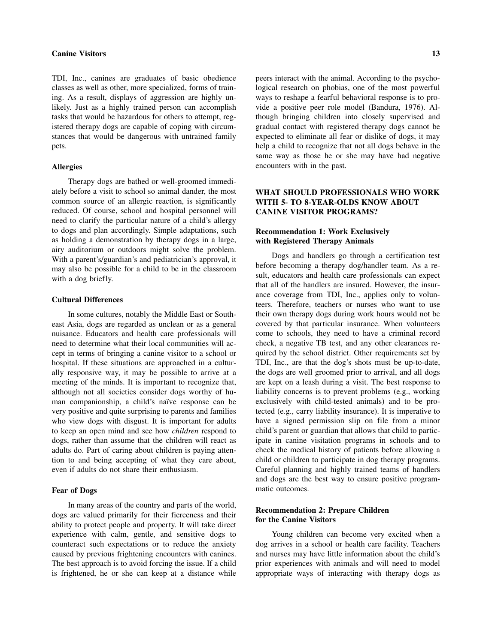## **Canine Visitors 13**

Therapy dogs are bathed or well-groomed immediately before a visit to school so animal dander, the most **WHAT SHOULD PROFESSIONALS WHO WORK** common source of an allergic reaction, is significantly **WITH 5- TO 8-YEAR-OLDS KNOW ABOUT** reduced. Of course, school and hospital personnel will **CANINE VISITOR PROGRAMS?** need to clarify the particular nature of a child's allergy to dogs and plan accordingly. Simple adaptations, such **Recommendation 1: Work Exclusively** as holding a demonstration by therapy dogs in a large, **with Registered Therapy Animals** airy auditorium or outdoors might solve the problem.

In many areas of the country and parts of the world,<br>dogs are valued primarily for their fierceness and their<br>ability to protect people and property. It will take direct<br>for the Canine Visitors experience with calm, gentle, and sensitive dogs to Young children can become very excited when a counteract such expectations or to reduce the anxiety dog arrives in a school or health care facility. Teachers caused by previous frightening encounters with canines. and nurses may have little information about the child's The best approach is to avoid forcing the issue. If a child prior experiences with animals and will need to model

TDI, Inc., canines are graduates of basic obedience peers interact with the animal. According to the psychoclasses as well as other, more specialized, forms of train- logical research on phobias, one of the most powerful ing. As a result, displays of aggression are highly un- ways to reshape a fearful behavioral response is to prolikely. Just as a highly trained person can accomplish vide a positive peer role model (Bandura, 1976). Altasks that would be hazardous for others to attempt, reg- though bringing children into closely supervised and istered therapy dogs are capable of coping with circum- gradual contact with registered therapy dogs cannot be stances that would be dangerous with untrained family expected to eliminate all fear or dislike of dogs, it may pets. help a child to recognize that not all dogs behave in the same way as those he or she may have had negative **Allergies** encounters with in the past.

With a parent's/guardian's and pediatrician's approval, it<br>may also be possible for a child to be in the classroom<br>with a dog briefly.<br>with a dog briefly.<br>that all of the handlers are insured. However, the insur-**Cultural Differences** ance coverage from TDI, Inc., applies only to volunteers. Therefore, teachers or nurses who want to use In some cultures, notably the Middle East or South- their own therapy dogs during work hours would not be east Asia, dogs are regarded as unclean or as a general covered by that particular insurance. When volunteers nuisance. Educators and health care professionals will come to schools, they need to have a criminal record need to determine what their local communities will ac- check, a negative TB test, and any other clearances recept in terms of bringing a canine visitor to a school or quired by the school district. Other requirements set by hospital. If these situations are approached in a cultur-<br>
TDI, Inc., are that the dog's shots must be up-to-date, ally responsive way, it may be possible to arrive at a the dogs are well groomed prior to arrival, and all dogs meeting of the minds. It is important to recognize that, are kept on a leash during a visit. The best response to although not all societies consider dogs worthy of hu- liability concerns is to prevent problems (e.g., working man companionship, a child's naïve response can be exclusively with child-tested animals) and to be provery positive and quite surprising to parents and families tected (e.g., carry liability insurance). It is imperative to who view dogs with disgust. It is important for adults have a signed permission slip on file from a minor to keep an open mind and see how *children* respond to child's parent or guardian that allows that child to particdogs, rather than assume that the children will react as ipate in canine visitation programs in schools and to adults do. Part of caring about children is paying atten- check the medical history of patients before allowing a tion to and being accepting of what they care about, child or children to participate in dog therapy programs. even if adults do not share their enthusiasm. Careful planning and highly trained teams of handlers and dogs are the best way to ensure positive program-**Fear of Dogs** matic outcomes.

is frightened, he or she can keep at a distance while appropriate ways of interacting with therapy dogs as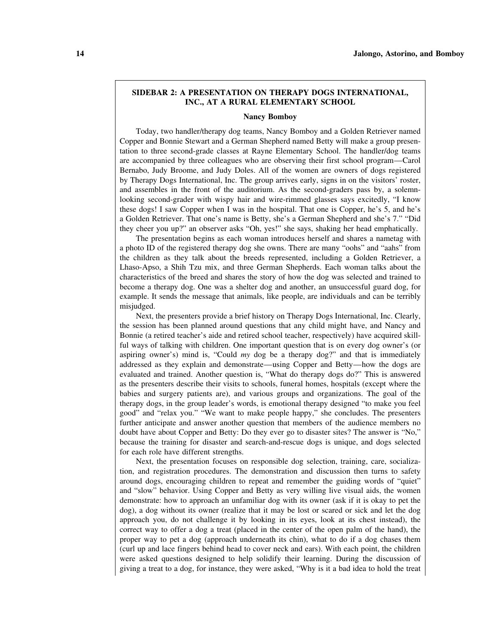# **SIDEBAR 2: A PRESENTATION ON THERAPY DOGS INTERNATIONAL, INC., AT A RURAL ELEMENTARY SCHOOL**

### **Nancy Bomboy**

Today, two handler/therapy dog teams, Nancy Bomboy and a Golden Retriever named Copper and Bonnie Stewart and a German Shepherd named Betty will make a group presentation to three second-grade classes at Rayne Elementary School. The handler/dog teams are accompanied by three colleagues who are observing their first school program—Carol Bernabo, Judy Broome, and Judy Doles. All of the women are owners of dogs registered by Therapy Dogs International, Inc. The group arrives early, signs in on the visitors' roster, and assembles in the front of the auditorium. As the second-graders pass by, a solemnlooking second-grader with wispy hair and wire-rimmed glasses says excitedly, "I know these dogs! I saw Copper when I was in the hospital. That one is Copper, he's 5, and he's a Golden Retriever. That one's name is Betty, she's a German Shepherd and she's 7." "Did they cheer you up?" an observer asks "Oh, yes!" she says, shaking her head emphatically.

The presentation begins as each woman introduces herself and shares a nametag with a photo ID of the registered therapy dog she owns. There are many "oohs" and "aahs" from the children as they talk about the breeds represented, including a Golden Retriever, a Lhaso-Apso, a Shih Tzu mix, and three German Shepherds. Each woman talks about the characteristics of the breed and shares the story of how the dog was selected and trained to become a therapy dog. One was a shelter dog and another, an unsuccessful guard dog, for example. It sends the message that animals, like people, are individuals and can be terribly misjudged.

Next, the presenters provide a brief history on Therapy Dogs International, Inc. Clearly, the session has been planned around questions that any child might have, and Nancy and Bonnie (a retired teacher's aide and retired school teacher, respectively) have acquired skillful ways of talking with children. One important question that is on every dog owner's (or aspiring owner's) mind is, "Could *my* dog be a therapy dog?" and that is immediately addressed as they explain and demonstrate—using Copper and Betty—how the dogs are evaluated and trained. Another question is, "What do therapy dogs do?" This is answered as the presenters describe their visits to schools, funeral homes, hospitals (except where the babies and surgery patients are), and various groups and organizations. The goal of the therapy dogs, in the group leader's words, is emotional therapy designed "to make you feel good" and "relax you." "We want to make people happy," she concludes. The presenters further anticipate and answer another question that members of the audience members no doubt have about Copper and Betty: Do they ever go to disaster sites? The answer is "No," because the training for disaster and search-and-rescue dogs is unique, and dogs selected for each role have different strengths.

Next, the presentation focuses on responsible dog selection, training, care, socialization, and registration procedures. The demonstration and discussion then turns to safety around dogs, encouraging children to repeat and remember the guiding words of "quiet" and "slow" behavior. Using Copper and Betty as very willing live visual aids, the women demonstrate: how to approach an unfamiliar dog with its owner (ask if it is okay to pet the dog), a dog without its owner (realize that it may be lost or scared or sick and let the dog approach you, do not challenge it by looking in its eyes, look at its chest instead), the correct way to offer a dog a treat (placed in the center of the open palm of the hand), the proper way to pet a dog (approach underneath its chin), what to do if a dog chases them (curl up and lace fingers behind head to cover neck and ears). With each point, the children were asked questions designed to help solidify their learning. During the discussion of giving a treat to a dog, for instance, they were asked, "Why is it a bad idea to hold the treat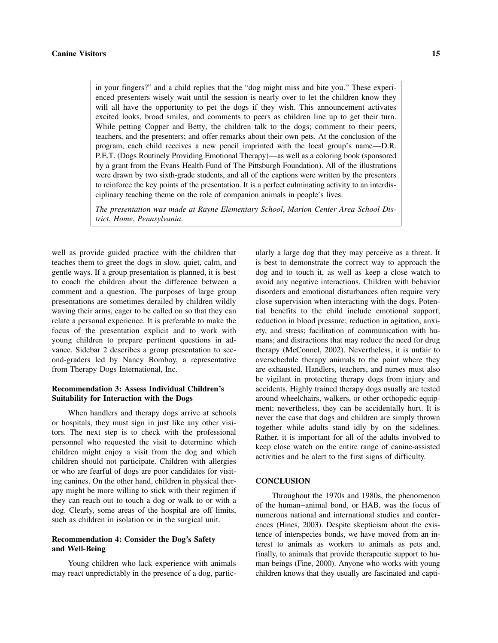in your fingers?" and a child replies that the "dog might miss and bite you." These experienced presenters wisely wait until the session is nearly over to let the children know they will all have the opportunity to pet the dogs if they wish. This announcement activates excited looks, broad smiles, and comments to peers as children line up to get their turn. While petting Copper and Betty, the children talk to the dogs; comment to their peers, teachers, and the presenters; and offer remarks about their own pets. At the conclusion of the program, each child receives a new pencil imprinted with the local group's name—D.R. P.E.T. (Dogs Routinely Providing Emotional Therapy)—as well as a coloring book (sponsored by a grant from the Evans Health Fund of The Pittsburgh Foundation). All of the illustrations were drawn by two sixth-grade students, and all of the captions were written by the presenters to reinforce the key points of the presentation. It is a perfect culminating activity to an interdisciplinary teaching theme on the role of companion animals in people's lives.

*The presentation was made at Rayne Elementary School*, *Marion Center Area School District*, *Home*, *Pennsylvania*.

well as provide guided practice with the children that ularly a large dog that they may perceive as a threat. It presentations are sometimes derailed by children wildly close supervision when interacting with the dogs. Potenrelate a personal experience. It is preferable to make the reduction in blood pressure; reduction in agitation, anxi-

When handlers and therapy dogs arrive at schools<br>or hospitals, they must sign in just like any other visi-<br>tors. The next step is to check with the professional<br>personnel who requested the visit to determine which<br>children or who are fearful of dogs are poor candidates for visiting canines. On the other hand, children in physical ther- **CONCLUSION**

teaches them to greet the dogs in slow, quiet, calm, and is best to demonstrate the correct way to approach the gentle ways. If a group presentation is planned, it is best dog and to touch it, as well as keep a close watch to to coach the children about the difference between a avoid any negative interactions. Children with behavior comment and a question. The purposes of large group disorders and emotional disturbances often require very waving their arms, eager to be called on so that they can tial benefits to the child include emotional support; focus of the presentation explicit and to work with ety, and stress; facilitation of communication with huyoung children to prepare pertinent questions in ad- mans; and distractions that may reduce the need for drug vance. Sidebar 2 describes a group presentation to sec- therapy (McConnel, 2002). Nevertheless, it is unfair to ond-graders led by Nancy Bomboy, a representative overschedule therapy animals to the point where they from Therapy Dogs International, Inc. are exhausted. Handlers, teachers, and nurses must also be vigilant in protecting therapy dogs from injury and **Recommendation 3: Assess Individual Children's** accidents. Highly trained therapy dogs usually are tested **Suitability for Interaction with the Dogs** around wheelchairs, walkers, or other orthopedic equip-

apy might be more willing to stick with their regimen if<br>they can reach out to touch a dog or walk to or with a<br>dog. Clearly, some areas of the hospital are off limits,<br>such as children in isolation or in the surgical unit **Recommendation 4: Consider the Dog's Safety** tence of interspecies bonds, we have moved from an in-<br>terest to animals as workers to animals as pets and,<br>finally, to animals that provide therapeutic support to hu-Young children who lack experience with animals man beings (Fine, 2000). Anyone who works with young may react unpredictably in the presence of a dog, partic- children knows that they usually are fascinated and capti